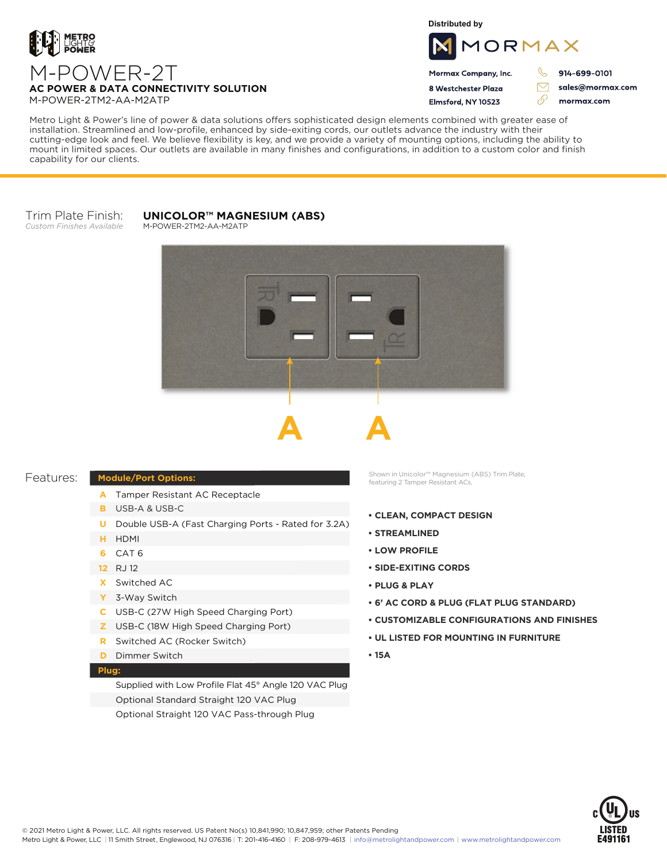

M-POWER-2TM2-AA-M2ATP

**Distributed by**



Mormax Company, Inc. 8 Westchester Plaza

914-699-0101

sales@mormax.com

Elmsford, NY 10523 76 mormax.com

 $\triangledown$ 

Metro Light & Power's line of power & data solutions offers sophisticated design elements combined with greater ease of installation. Streamlined and low-profile, enhanced by side-exiting cords, our outlets advance the industry with their cutting-edge look and feel. We believe flexibility is key, and we provide a variety of mounting options, including the ability to mount in limited spaces. Our outlets are available in many finishes and configurations, in addition to a custom color and finish capability for our clients.

## Trim Plate Finish: *Custom Finishes Available*

## **UNICOLOR™ MAGNESIUM (ABS)**

M-POWER-2TM2-AA-M2ATP





## Features:

- A Tamper Resistant AC Receptacle
- USB-A & USB-C **B**

**Module/Port Options:**

- U Double USB-A (Fast Charging Ports Rated for 3.2A)
- HDMI **H**
- CAT 6 **6**
- 12 RJ 12
- Switched AC **X**
- 3-Way Switch **Y**
- USB-C (27W High Speed Charging Port) **C**
- USB-C (18W High Speed Charging Port) **Z**
- Switched AC (Rocker Switch) **R**
- **D** Dimmer Switch

## **Plug:**

Supplied with Low Profile Flat 45° Angle 120 VAC Plug Optional Standard Straight 120 VAC Plug Optional Straight 120 VAC Pass-through Plug

Shown in Unicolor™ Magnesium (ABS) Trim Plate, featuring 2 Tamper Resistant ACs.

- **CLEAN, COMPACT DESIGN**
- **STREAMLINED**
- **LOW PROFILE**
- **SIDE-EXITING CORDS**
- **PLUG & PLAY**
- **6' AC CORD & PLUG (FLAT PLUG STANDARD)**
- **CUSTOMIZABLE CONFIGURATIONS AND FINISHES**
- **UL LISTED FOR MOUNTING IN FURNITURE**
- **15A**